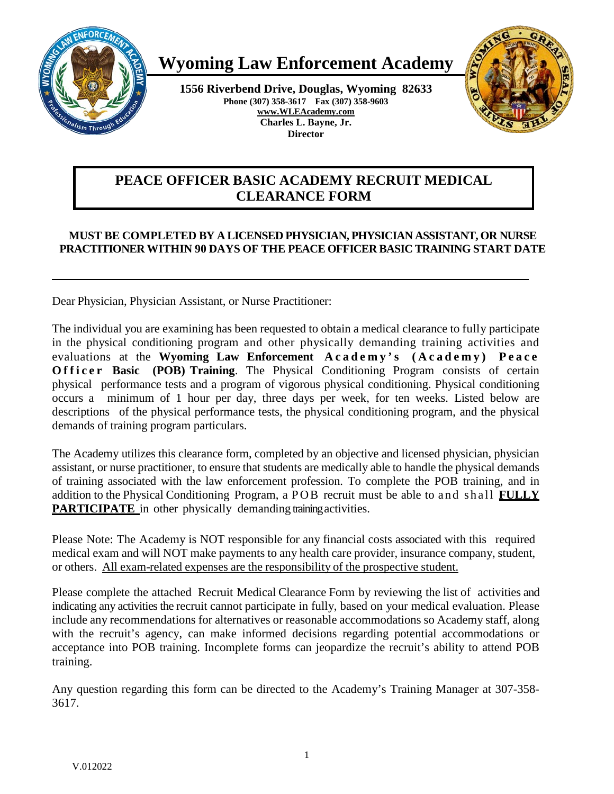

# **Wyoming Law Enforcement Academy**

**1556 Riverbend Drive, Douglas, Wyoming 82633 Phone (307) 358-3617 Fax (307) 358-9603 [www.WLEAcademy.com](http://www.wleacademy.com/) Charles L. Bayne, Jr. Director**



## **PEACE OFFICER BASIC ACADEMY RECRUIT MEDICAL CLEARANCE FORM**

## **MUST BE COMPLETED BY A LICENSED PHYSICIAN, PHYSICIAN ASSISTANT, OR NURSE PRACTITIONER WITHIN 90 DAYS OF THE PEACE OFFICER BASIC TRAINING START DATE**

Dear Physician, Physician Assistant, or Nurse Practitioner:

The individual you are examining has been requested to obtain a medical clearance to fully participate in the physical conditioning program and other physically demanding training activities and evaluations at the **Wyoming Law Enforcement Academy's (Academy) Peace Officer Basic (POB) Training.** The Physical Conditioning Program consists of certain physical performance tests and a program of vigorous physical conditioning. Physical conditioning occurs a minimum of 1 hour per day, three days per week, for ten weeks. Listed below are descriptions of the physical performance tests, the physical conditioning program, and the physical demands of training program particulars.

The Academy utilizes this clearance form, completed by an objective and licensed physician, physician assistant, or nurse practitioner, to ensure that students are medically able to handle the physical demands of training associated with the law enforcement profession. To complete the POB training, and in addition to the Physical Conditioning Program, a POB recruit must be able to and shall **FULLY PARTICIPATE** in other physically demanding training activities.

Please Note: The Academy is NOT responsible for any financial costs associated with this required medical exam and will NOT make payments to any health care provider, insurance company, student, or others. All exam-related expenses are the responsibility of the prospective student.

Please complete the attached Recruit Medical Clearance Form by reviewing the list of activities and indicating any activities the recruit cannot participate in fully, based on your medical evaluation. Please include any recommendations for alternatives or reasonable accommodations so Academy staff, along with the recruit's agency, can make informed decisions regarding potential accommodations or acceptance into POB training. Incomplete forms can jeopardize the recruit's ability to attend POB training.

Any question regarding this form can be directed to the Academy's Training Manager at 307-358- 3617.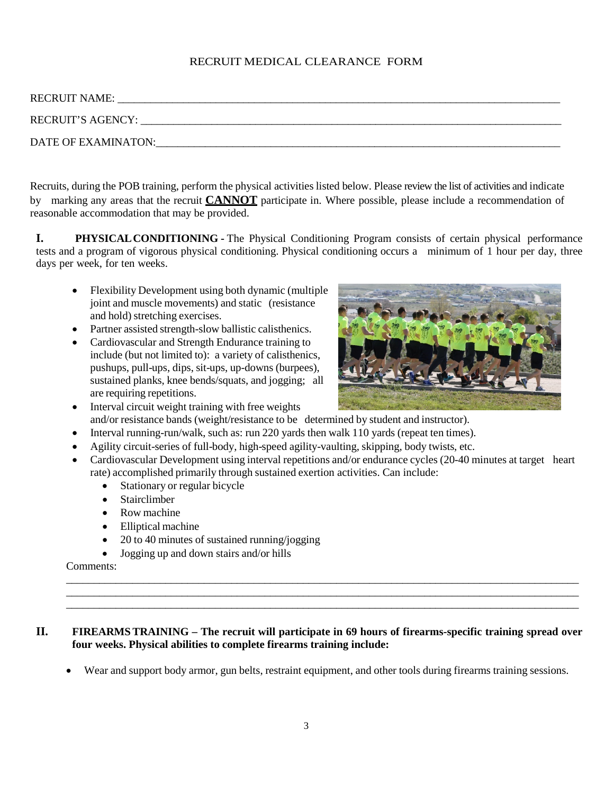## RECRUIT MEDICAL CLEARANCE FORM

| <b>RECRUIT NAME:</b> |  |
|----------------------|--|
| RECRUIT'S AGENCY:    |  |
| DATE OF EXAMINATON:  |  |

Recruits, during the POB training, perform the physical activities listed below. Please review the list of activities and indicate by marking any areas that the recruit **CANNOT** participate in. Where possible, please include a recommendation of reasonable accommodation that may be provided.

**I. PHYSICALCONDITIONING -** The Physical Conditioning Program consists of certain physical performance tests and a program of vigorous physical conditioning. Physical conditioning occurs a minimum of 1 hour per day, three days per week, for ten weeks.

- Flexibility Development using both dynamic (multiple joint and muscle movements) and static (resistance and hold) stretching exercises.
- Partner assisted strength-slow ballistic calisthenics.
- Cardiovascular and Strength Endurance training to include (but not limited to): a variety of calisthenics, pushups, pull-ups, dips, sit-ups, up-downs (burpees), sustained planks, knee bends/squats, and jogging; all are requiring repetitions.



- Interval circuit weight training with free weights and/or resistance bands (weight/resistance to be determined by student and instructor).
- Interval running-run/walk, such as: run 220 yards then walk 110 yards (repeat ten times).
- Agility circuit-series of full-body, high-speed agility-vaulting, skipping, body twists, etc.
- Cardiovascular Development using interval repetitions and/or endurance cycles (20-40 minutes at target heart rate) accomplished primarily through sustained exertion activities. Can include:
	- Stationary or regular bicycle
	- Stairclimber
	- Row machine
	- Elliptical machine
	- 20 to 40 minutes of sustained running/jogging
	- Jogging up and down stairs and/or hills

Comments:

## **II. FIREARMSTRAINING – The recruit will participate in 69 hours of firearms-specific training spread over four weeks. Physical abilities to complete firearms training include:**

• Wear and support body armor, gun belts, restraint equipment, and other tools during firearms training sessions.

\_\_\_\_\_\_\_\_\_\_\_\_\_\_\_\_\_\_\_\_\_\_\_\_\_\_\_\_\_\_\_\_\_\_\_\_\_\_\_\_\_\_\_\_\_\_\_\_\_\_\_\_\_\_\_\_\_\_\_\_\_\_\_\_\_\_\_\_\_\_\_\_\_\_\_\_\_\_\_\_\_\_\_\_\_\_\_\_\_\_\_\_\_ \_\_\_\_\_\_\_\_\_\_\_\_\_\_\_\_\_\_\_\_\_\_\_\_\_\_\_\_\_\_\_\_\_\_\_\_\_\_\_\_\_\_\_\_\_\_\_\_\_\_\_\_\_\_\_\_\_\_\_\_\_\_\_\_\_\_\_\_\_\_\_\_\_\_\_\_\_\_\_\_\_\_\_\_\_\_\_\_\_\_\_\_\_ \_\_\_\_\_\_\_\_\_\_\_\_\_\_\_\_\_\_\_\_\_\_\_\_\_\_\_\_\_\_\_\_\_\_\_\_\_\_\_\_\_\_\_\_\_\_\_\_\_\_\_\_\_\_\_\_\_\_\_\_\_\_\_\_\_\_\_\_\_\_\_\_\_\_\_\_\_\_\_\_\_\_\_\_\_\_\_\_\_\_\_\_\_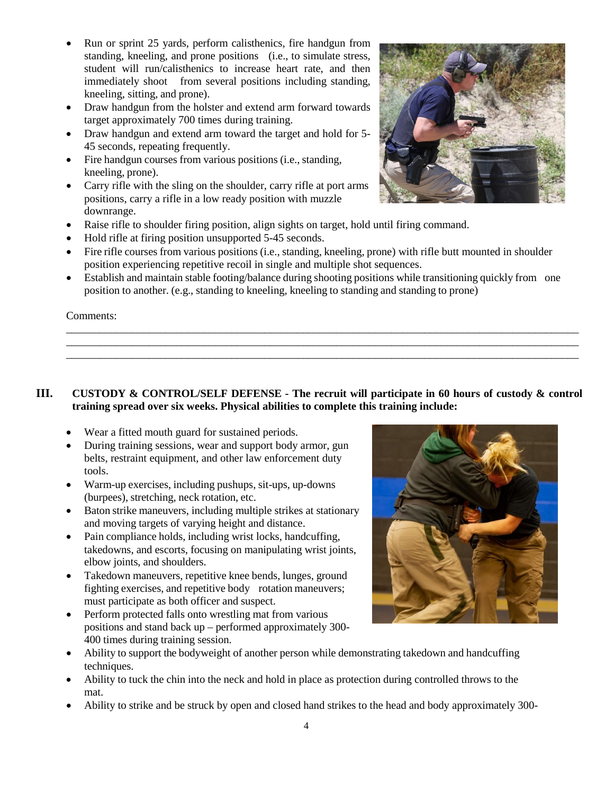- Run or sprint 25 yards, perform calisthenics, fire handgun from standing, kneeling, and prone positions (i.e., to simulate stress, student will run/calisthenics to increase heart rate, and then immediately shoot from several positions including standing, kneeling, sitting, and prone).
- Draw handgun from the holster and extend arm forward towards target approximately 700 times during training.
- Draw handgun and extend arm toward the target and hold for 5- 45 seconds, repeating frequently.
- Fire handgun courses from various positions (i.e., standing, kneeling, prone).
- Carry rifle with the sling on the shoulder, carry rifle at port arms positions, carry a rifle in a low ready position with muzzle downrange.
- Raise rifle to shoulder firing position, align sights on target, hold until firing command.
- Hold rifle at firing position unsupported 5-45 seconds.
- Fire rifle courses from various positions (i.e., standing, kneeling, prone) with rifle butt mounted in shoulder position experiencing repetitive recoil in single and multiple shot sequences.
- Establish and maintain stable footing/balance during shooting positions while transitioning quickly from one position to another. (e.g., standing to kneeling, kneeling to standing and standing to prone)

\_\_\_\_\_\_\_\_\_\_\_\_\_\_\_\_\_\_\_\_\_\_\_\_\_\_\_\_\_\_\_\_\_\_\_\_\_\_\_\_\_\_\_\_\_\_\_\_\_\_\_\_\_\_\_\_\_\_\_\_\_\_\_\_\_\_\_\_\_\_\_\_\_\_\_\_\_\_\_\_\_\_\_\_\_\_\_\_\_\_\_\_\_ \_\_\_\_\_\_\_\_\_\_\_\_\_\_\_\_\_\_\_\_\_\_\_\_\_\_\_\_\_\_\_\_\_\_\_\_\_\_\_\_\_\_\_\_\_\_\_\_\_\_\_\_\_\_\_\_\_\_\_\_\_\_\_\_\_\_\_\_\_\_\_\_\_\_\_\_\_\_\_\_\_\_\_\_\_\_\_\_\_\_\_\_\_ \_\_\_\_\_\_\_\_\_\_\_\_\_\_\_\_\_\_\_\_\_\_\_\_\_\_\_\_\_\_\_\_\_\_\_\_\_\_\_\_\_\_\_\_\_\_\_\_\_\_\_\_\_\_\_\_\_\_\_\_\_\_\_\_\_\_\_\_\_\_\_\_\_\_\_\_\_\_\_\_\_\_\_\_\_\_\_\_\_\_\_\_\_

Comments:

## **III. CUSTODY & CONTROL/SELF DEFENSE - The recruit will participate in 60 hours of custody & control training spread over six weeks. Physical abilities to complete this training include:**

- Wear a fitted mouth guard for sustained periods.
- During training sessions, wear and support body armor, gun belts, restraint equipment, and other law enforcement duty tools.
- Warm-up exercises, including pushups, sit-ups, up-downs (burpees), stretching, neck rotation, etc.
- Baton strike maneuvers, including multiple strikes at stationary and moving targets of varying height and distance.
- Pain compliance holds, including wrist locks, handcuffing, takedowns, and escorts, focusing on manipulating wrist joints, elbow joints, and shoulders.
- Takedown maneuvers, repetitive knee bends, lunges, ground fighting exercises, and repetitive body rotation maneuvers; must participate as both officer and suspect.
- Perform protected falls onto wrestling mat from various positions and stand back up – performed approximately 300- 400 times during training session.
- Ability to support the bodyweight of another person while demonstrating takedown and handcuffing techniques.
- Ability to tuck the chin into the neck and hold in place as protection during controlled throws to the mat.
- Ability to strike and be struck by open and closed hand strikes to the head and body approximately 300-



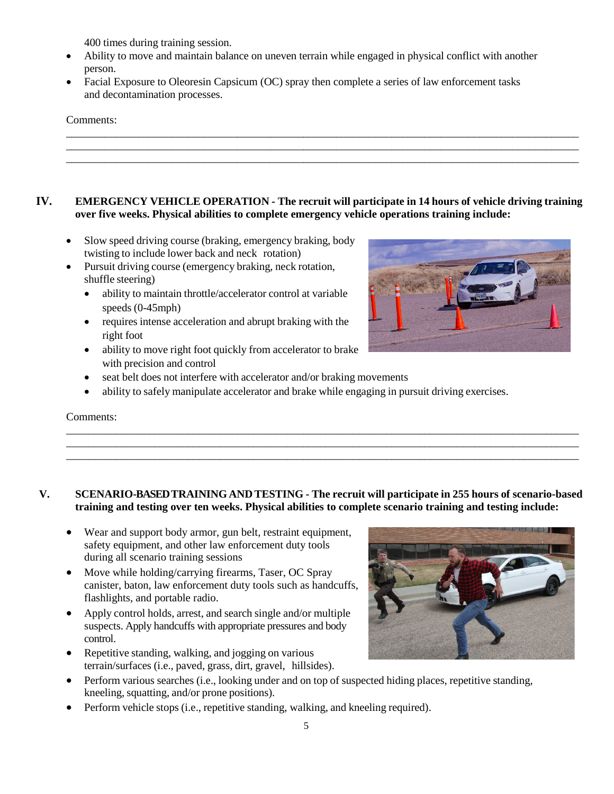400 times during training session.

- Ability to move and maintain balance on uneven terrain while engaged in physical conflict with another person.
- Facial Exposure to Oleoresin Capsicum (OC) spray then complete a series of law enforcement tasks and decontamination processes.

#### Comments:

## **IV. EMERGENCY VEHICLE OPERATION - The recruit will participate in 14 hours of vehicle driving training over five weeks. Physical abilities to complete emergency vehicle operations training include:**

\_\_\_\_\_\_\_\_\_\_\_\_\_\_\_\_\_\_\_\_\_\_\_\_\_\_\_\_\_\_\_\_\_\_\_\_\_\_\_\_\_\_\_\_\_\_\_\_\_\_\_\_\_\_\_\_\_\_\_\_\_\_\_\_\_\_\_\_\_\_\_\_\_\_\_\_\_\_\_\_\_\_\_\_\_\_\_\_\_\_\_\_\_ \_\_\_\_\_\_\_\_\_\_\_\_\_\_\_\_\_\_\_\_\_\_\_\_\_\_\_\_\_\_\_\_\_\_\_\_\_\_\_\_\_\_\_\_\_\_\_\_\_\_\_\_\_\_\_\_\_\_\_\_\_\_\_\_\_\_\_\_\_\_\_\_\_\_\_\_\_\_\_\_\_\_\_\_\_\_\_\_\_\_\_\_\_ \_\_\_\_\_\_\_\_\_\_\_\_\_\_\_\_\_\_\_\_\_\_\_\_\_\_\_\_\_\_\_\_\_\_\_\_\_\_\_\_\_\_\_\_\_\_\_\_\_\_\_\_\_\_\_\_\_\_\_\_\_\_\_\_\_\_\_\_\_\_\_\_\_\_\_\_\_\_\_\_\_\_\_\_\_\_\_\_\_\_\_\_\_

- Slow speed driving course (braking, emergency braking, body twisting to include lower back and neck rotation)
- Pursuit driving course (emergency braking, neck rotation, shuffle steering)
	- ability to maintain throttle/accelerator control at variable speeds (0-45mph)
	- requires intense acceleration and abrupt braking with the right foot
	- ability to move right foot quickly from accelerator to brake with precision and control
	- seat belt does not interfere with accelerator and/or braking movements
	- ability to safely manipulate accelerator and brake while engaging in pursuit driving exercises.

#### Comments:

## **V. SCENARIO-BASED TRAININGAND TESTING - The recruit will participate in 255 hours of scenario-based training and testing over ten weeks. Physical abilities to complete scenario training and testing include:**

\_\_\_\_\_\_\_\_\_\_\_\_\_\_\_\_\_\_\_\_\_\_\_\_\_\_\_\_\_\_\_\_\_\_\_\_\_\_\_\_\_\_\_\_\_\_\_\_\_\_\_\_\_\_\_\_\_\_\_\_\_\_\_\_\_\_\_\_\_\_\_\_\_\_\_\_\_\_\_\_\_\_\_\_\_\_\_\_\_\_\_\_\_ \_\_\_\_\_\_\_\_\_\_\_\_\_\_\_\_\_\_\_\_\_\_\_\_\_\_\_\_\_\_\_\_\_\_\_\_\_\_\_\_\_\_\_\_\_\_\_\_\_\_\_\_\_\_\_\_\_\_\_\_\_\_\_\_\_\_\_\_\_\_\_\_\_\_\_\_\_\_\_\_\_\_\_\_\_\_\_\_\_\_\_\_\_ \_\_\_\_\_\_\_\_\_\_\_\_\_\_\_\_\_\_\_\_\_\_\_\_\_\_\_\_\_\_\_\_\_\_\_\_\_\_\_\_\_\_\_\_\_\_\_\_\_\_\_\_\_\_\_\_\_\_\_\_\_\_\_\_\_\_\_\_\_\_\_\_\_\_\_\_\_\_\_\_\_\_\_\_\_\_\_\_\_\_\_\_\_

- Wear and support body armor, gun belt, restraint equipment, safety equipment, and other law enforcement duty tools during all scenario training sessions
- Move while holding/carrying firearms, Taser, OC Spray canister, baton, law enforcement duty tools such as handcuffs, flashlights, and portable radio.
- Apply control holds, arrest, and search single and/or multiple suspects. Apply handcuffs with appropriate pressures and body control.
- Repetitive standing, walking, and jogging on various terrain/surfaces (i.e., paved, grass, dirt, gravel, hillsides).
- Perform various searches (i.e., looking under and on top of suspected hiding places, repetitive standing, kneeling, squatting, and/or prone positions).
- Perform vehicle stops (i.e., repetitive standing, walking, and kneeling required).



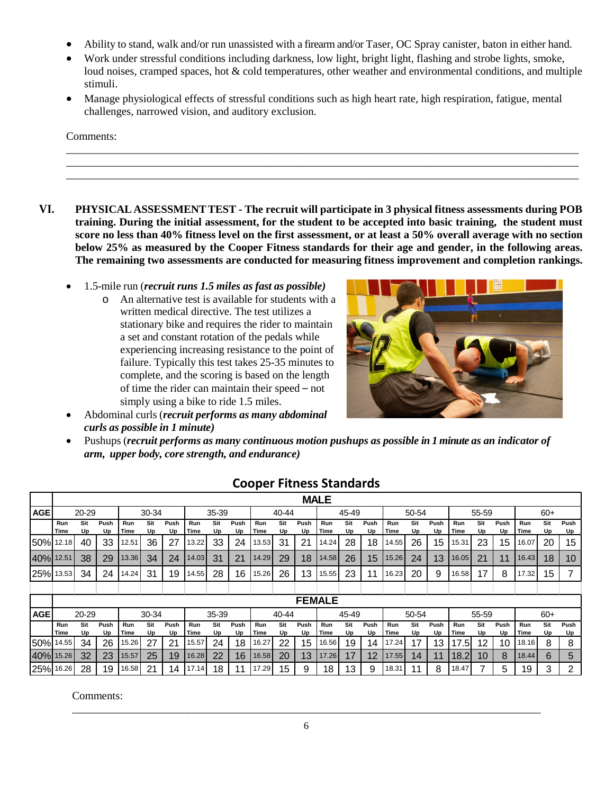- Ability to stand, walk and/or run unassisted with a firearm and/or Taser, OC Spray canister, baton in either hand.
- Work under stressful conditions including darkness, low light, bright light, flashing and strobe lights, smoke, loud noises, cramped spaces, hot & cold temperatures, other weather and environmental conditions, and multiple stimuli.
- Manage physiological effects of stressful conditions such as high heart rate, high respiration, fatigue, mental challenges, narrowed vision, and auditory exclusion.

\_\_\_\_\_\_\_\_\_\_\_\_\_\_\_\_\_\_\_\_\_\_\_\_\_\_\_\_\_\_\_\_\_\_\_\_\_\_\_\_\_\_\_\_\_\_\_\_\_\_\_\_\_\_\_\_\_\_\_\_\_\_\_\_\_\_\_\_\_\_\_\_\_\_\_\_\_\_\_\_\_\_\_\_\_\_\_\_\_\_\_\_\_ \_\_\_\_\_\_\_\_\_\_\_\_\_\_\_\_\_\_\_\_\_\_\_\_\_\_\_\_\_\_\_\_\_\_\_\_\_\_\_\_\_\_\_\_\_\_\_\_\_\_\_\_\_\_\_\_\_\_\_\_\_\_\_\_\_\_\_\_\_\_\_\_\_\_\_\_\_\_\_\_\_\_\_\_\_\_\_\_\_\_\_\_\_ \_\_\_\_\_\_\_\_\_\_\_\_\_\_\_\_\_\_\_\_\_\_\_\_\_\_\_\_\_\_\_\_\_\_\_\_\_\_\_\_\_\_\_\_\_\_\_\_\_\_\_\_\_\_\_\_\_\_\_\_\_\_\_\_\_\_\_\_\_\_\_\_\_\_\_\_\_\_\_\_\_\_\_\_\_\_\_\_\_\_\_\_\_

#### Comments:

- **VI. PHYSICAL ASSESSMENTTEST - The recruit will participate in 3 physical fitness assessments during POB training. During the initial assessment, for the student to be accepted into basic training, the student must score no less than 40% fitness level on the first assessment, or at least a 50% overall average with no section below 25% as measured by the Cooper Fitness standards for their age and gender, in the following areas. The remaining two assessments are conducted for measuring fitness improvement and completion rankings.** 
	- 1.5-mile run (*recruit runs 1.5 miles as fast as possible)*
		- o An alternative test is available for students with a written medical directive. The test utilizes a stationary bike and requires the rider to maintain a set and constant rotation of the pedals while experiencing increasing resistance to the point of failure. Typically this test takes 25-35 minutes to complete, and the scoring is based on the length of time the rider can maintain their speed – not simply using a bike to ride 1.5 miles.



- Abdominal curls (*recruit performs as many abdominal curls as possible in 1 minute)*
- Pushups (*recruit performs as many continuous motion pushups as possible in 1 minute as an indicator of arm, upper body, core strength, and endurance)*

|            |                    |           |            |                    |           |            |             |           |            |             |           |            | <b>MALE</b> |           |            |             |           |            |             |           |            |             |           |            |
|------------|--------------------|-----------|------------|--------------------|-----------|------------|-------------|-----------|------------|-------------|-----------|------------|-------------|-----------|------------|-------------|-----------|------------|-------------|-----------|------------|-------------|-----------|------------|
| <b>AGE</b> | 20-29              |           |            | 30-34              |           |            | 35-39       |           |            | 40-44       |           |            | 45-49       |           |            | 50-54       |           |            | 55-59       |           |            | $60+$       |           |            |
|            | Run<br>Time        | Sit<br>Up | Push<br>Up | Run<br>Time        | Sit<br>Up | Push<br>Up | Run<br>Time | Sit<br>Up | Push<br>Up | Run<br>Time | Sit<br>Up | Push<br>Up | Run<br>Time | Sit<br>Up | Push<br>Up | Run<br>Time | Sit<br>Up | Push<br>Up | Run<br>Time | Sit<br>Up | Push<br>Up | Run<br>Time | Sit<br>Up | Push<br>Up |
| 150% 12.18 |                    | 40        | 33         | 12.51              | 36        | 27         | 13.22       | 33        | 24         | 13.53       | 31        | 21         | 14.24       | 28        | 18         | 14.55       | 26        | 15         | 15.31       | 23        | 15         | 16.07       | 20        | 15         |
| 40% 12.51  |                    | 38        | 29         | 13.36              | 34        | 24         | 14.03       | 31        | 21         | 14.29       | 29        | 18         | 14.58       | 26        | 15         | 15.26       | 24        | 13         | 16.05       | 21        | 11         | 16.43       | 18        | 10         |
| 25% 13.53  |                    | 34        | 24         | 14.24              | 31        | 19         | 14.55       | 28        | 16         | 15.26       | 26        | 13         | 15.55       | 23        | 11         | 16.23       | 20        | 9          | 16.58       | 17        | 8          | 17.32       | 15        |            |
|            |                    |           |            |                    |           |            |             |           |            |             |           |            |             |           |            |             |           |            |             |           |            |             |           |            |
|            | <b>FEMALE</b>      |           |            |                    |           |            |             |           |            |             |           |            |             |           |            |             |           |            |             |           |            |             |           |            |
| <b>AGE</b> | 30-34<br>20-29     |           |            | 35-39<br>$40 - 44$ |           |            |             |           | 45-49      |             |           | 50-54      |             |           | 55-59      |             |           | $60+$      |             |           |            |             |           |            |
|            | <b>Run</b><br>Time | Sit<br>Up | Push<br>Up | Run<br>Time        | Sit<br>Up | Push<br>Up | Run<br>Time | Sit<br>Up | Push<br>Up | Run<br>Time | Sit<br>Up | Push<br>Up | Run<br>Time | Sit<br>Up | Push<br>Up | Run<br>Time | Sit<br>Up | Push<br>Up | Run<br>Time | Sit<br>Up | Push<br>Up | Run<br>Time | Sit<br>Up | Push<br>Up |
| 50% 14.55  |                    | 34        | 26         | 15.26              | 27        | 21         | 15.57       | 24        | 18         | 16.27       | 22        | 15         | 16.56       | 19        | 14         | 17.24       | 17        | 13         | 17.5        | 12        | 10         | 18.16       | 8         | 8          |
| 40%        | 15.26              | 32        | 23         | 15.57              | 25        | 19         | 16.28       | 22        | 16         | 16.58       | 20        | 13         | 17.26       | 17        | 12         | 17.55       | 14        | 11         | 18.2        | 10        | 8          | 18.44       | 6         | 5          |
| 25% 16.26  |                    | 28        | 19         | 16.58              | 21        | 14         | 17.14       | 18        |            | 17.29       | 15        | 9          | 18          | 13        | 9          | 18.31       |           | 8          | 18.47       |           | 5          | 19          | 3         | 2          |

## **Cooper Fitness Standards**

Comments: